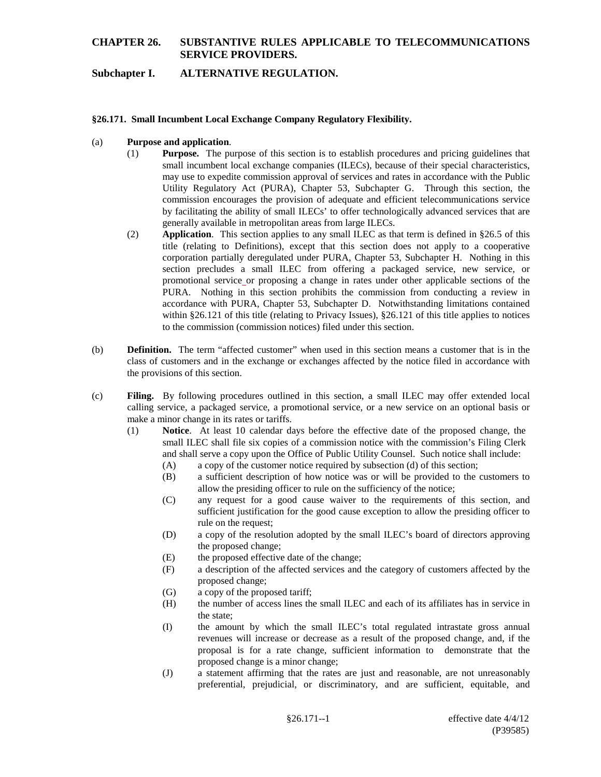### **CHAPTER 26. SUBSTANTIVE RULES APPLICABLE TO TELECOMMUNICATIONS SERVICE PROVIDERS.**

#### **Subchapter I. ALTERNATIVE REGULATION.**

#### **§26.171. Small Incumbent Local Exchange Company Regulatory Flexibility.**

- (a) **Purpose and application**.
	- (1) **Purpose.** The purpose of this section is to establish procedures and pricing guidelines that small incumbent local exchange companies (ILECs), because of their special characteristics, may use to expedite commission approval of services and rates in accordance with the Public Utility Regulatory Act (PURA), Chapter 53, Subchapter G. Through this section, the commission encourages the provision of adequate and efficient telecommunications service by facilitating the ability of small ILECs' to offer technologically advanced services that are generally available in metropolitan areas from large ILECs.
	- (2) **Application**. This section applies to any small ILEC as that term is defined in §26.5 of this title (relating to Definitions), except that this section does not apply to a cooperative corporation partially deregulated under PURA, Chapter 53, Subchapter H. Nothing in this section precludes a small ILEC from offering a packaged service, new service, or promotional service or proposing a change in rates under other applicable sections of the PURA. Nothing in this section prohibits the commission from conducting a review in accordance with PURA, Chapter 53, Subchapter D. Notwithstanding limitations contained within §26.121 of this title (relating to Privacy Issues), §26.121 of this title applies to notices to the commission (commission notices) filed under this section.
- (b) **Definition.** The term "affected customer" when used in this section means a customer that is in the class of customers and in the exchange or exchanges affected by the notice filed in accordance with the provisions of this section.
- (c) **Filing.** By following procedures outlined in this section, a small ILEC may offer extended local calling service, a packaged service, a promotional service, or a new service on an optional basis or make a minor change in its rates or tariffs.
	- (1) **Notice**. At least 10 calendar days before the effective date of the proposed change, the small ILEC shall file six copies of a commission notice with the commission's Filing Clerk and shall serve a copy upon the Office of Public Utility Counsel. Such notice shall include:
		- (A) a copy of the customer notice required by subsection (d) of this section;
		- (B) a sufficient description of how notice was or will be provided to the customers to allow the presiding officer to rule on the sufficiency of the notice;
		- (C) any request for a good cause waiver to the requirements of this section, and sufficient justification for the good cause exception to allow the presiding officer to rule on the request;
		- (D) a copy of the resolution adopted by the small ILEC's board of directors approving the proposed change;
		- (E) the proposed effective date of the change;
		- (F) a description of the affected services and the category of customers affected by the proposed change;
		- (G) a copy of the proposed tariff;
		- (H) the number of access lines the small ILEC and each of its affiliates has in service in the state;
		- (I) the amount by which the small ILEC's total regulated intrastate gross annual revenues will increase or decrease as a result of the proposed change, and, if the proposal is for a rate change, sufficient information to demonstrate that the proposed change is a minor change;
		- (J) a statement affirming that the rates are just and reasonable, are not unreasonably preferential, prejudicial, or discriminatory, and are sufficient, equitable, and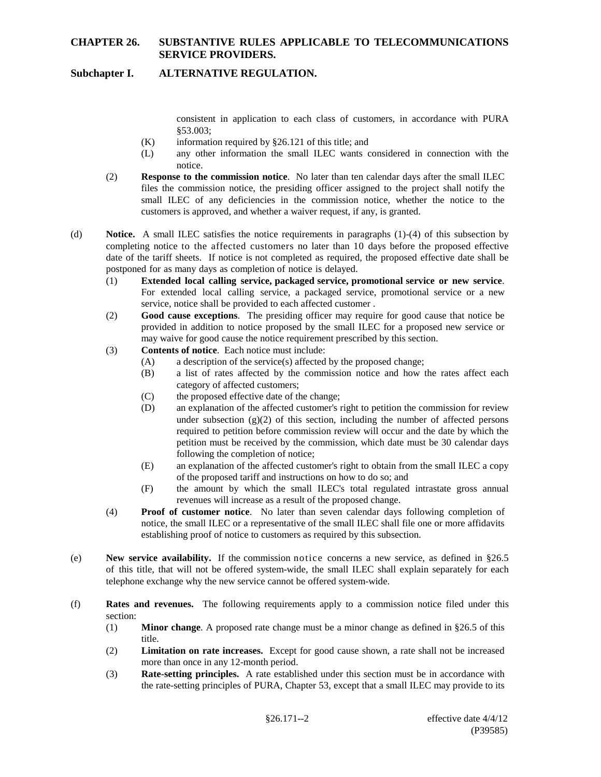# **CHAPTER 26. SUBSTANTIVE RULES APPLICABLE TO TELECOMMUNICATIONS SERVICE PROVIDERS.**

## **Subchapter I. ALTERNATIVE REGULATION.**

consistent in application to each class of customers, in accordance with PURA §53.003;

- $(K)$  information required by §26.121 of this title; and
- (L) any other information the small ILEC wants considered in connection with the notice.
- (2) **Response to the commission notice**. No later than ten calendar days after the small ILEC files the commission notice, the presiding officer assigned to the project shall notify the small ILEC of any deficiencies in the commission notice, whether the notice to the customers is approved, and whether a waiver request, if any, is granted.
- (d) **Notice.** A small ILEC satisfies the notice requirements in paragraphs (1)-(4) of this subsection by completing notice to the affected customers no later than 10 days before the proposed effective date of the tariff sheets. If notice is not completed as required, the proposed effective date shall be postponed for as many days as completion of notice is delayed.
	- (1) **Extended local calling service, packaged service, promotional service or new service**. For extended local calling service, a packaged service, promotional service or a new service, notice shall be provided to each affected customer .
	- (2) **Good cause exceptions**. The presiding officer may require for good cause that notice be provided in addition to notice proposed by the small ILEC for a proposed new service or may waive for good cause the notice requirement prescribed by this section.
	- (3) **Contents of notice**. Each notice must include:
		- (A) a description of the service(s) affected by the proposed change;
		- (B) a list of rates affected by the commission notice and how the rates affect each category of affected customers;
		- (C) the proposed effective date of the change;
		- (D) an explanation of the affected customer's right to petition the commission for review under subsection  $(g)(2)$  of this section, including the number of affected persons required to petition before commission review will occur and the date by which the petition must be received by the commission, which date must be 30 calendar days following the completion of notice;
		- (E) an explanation of the affected customer's right to obtain from the small ILEC a copy of the proposed tariff and instructions on how to do so; and
		- (F) the amount by which the small ILEC's total regulated intrastate gross annual revenues will increase as a result of the proposed change.
	- (4) **Proof of customer notice**. No later than seven calendar days following completion of notice, the small ILEC or a representative of the small ILEC shall file one or more affidavits establishing proof of notice to customers as required by this subsection.
- (e) **New service availability.** If the commission notice concerns a new service, as defined in §26.5 of this title, that will not be offered system-wide, the small ILEC shall explain separately for each telephone exchange why the new service cannot be offered system-wide.
- (f) **Rates and revenues.** The following requirements apply to a commission notice filed under this section:
	- (1) **Minor change**. A proposed rate change must be a minor change as defined in §26.5 of this title.
	- (2) **Limitation on rate increases.** Except for good cause shown, a rate shall not be increased more than once in any 12-month period.
	- (3) **Rate-setting principles.** A rate established under this section must be in accordance with the rate-setting principles of PURA, Chapter 53, except that a small ILEC may provide to its